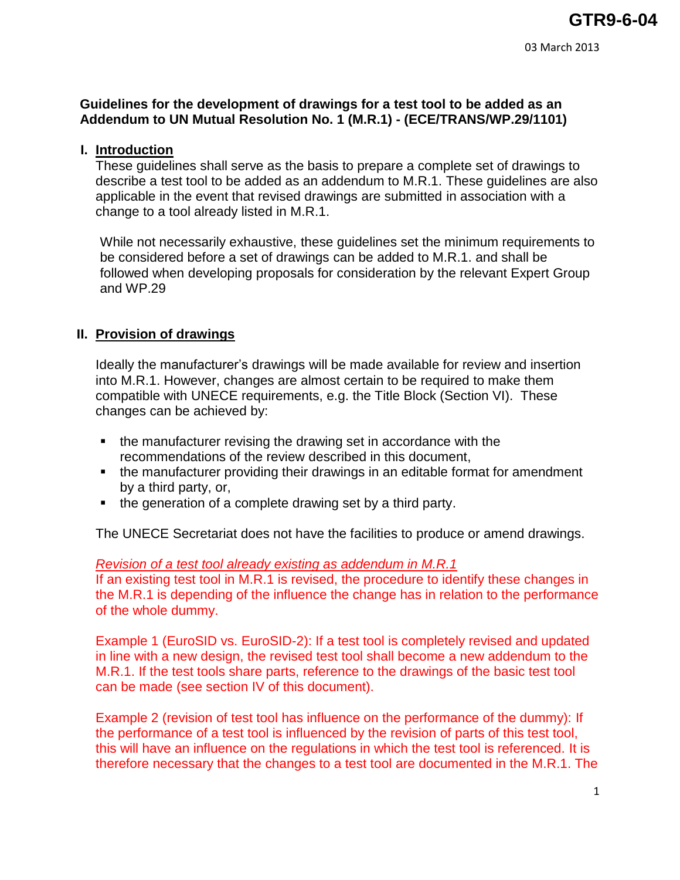### **Guidelines for the development of drawings for a test tool to be added as an Addendum to UN Mutual Resolution No. 1 (M.R.1) - (ECE/TRANS/WP.29/1101)**

## **I. Introduction**

These guidelines shall serve as the basis to prepare a complete set of drawings to describe a test tool to be added as an addendum to M.R.1. These guidelines are also applicable in the event that revised drawings are submitted in association with a change to a tool already listed in M.R.1.

While not necessarily exhaustive, these guidelines set the minimum requirements to be considered before a set of drawings can be added to M.R.1. and shall be followed when developing proposals for consideration by the relevant Expert Group and WP.29

# **II. Provision of drawings**

Ideally the manufacturer's drawings will be made available for review and insertion into M.R.1. However, changes are almost certain to be required to make them compatible with UNECE requirements, e.g. the Title Block (Section VI). These changes can be achieved by:

- the manufacturer revising the drawing set in accordance with the recommendations of the review described in this document,
- the manufacturer providing their drawings in an editable format for amendment by a third party, or,
- the generation of a complete drawing set by a third party.

The UNECE Secretariat does not have the facilities to produce or amend drawings.

## *Revision of a test tool already existing as addendum in M.R.1*

If an existing test tool in M.R.1 is revised, the procedure to identify these changes in the M.R.1 is depending of the influence the change has in relation to the performance of the whole dummy.

Example 1 (EuroSID vs. EuroSID-2): If a test tool is completely revised and updated in line with a new design, the revised test tool shall become a new addendum to the M.R.1. If the test tools share parts, reference to the drawings of the basic test tool can be made (see section IV of this document).

Example 2 (revision of test tool has influence on the performance of the dummy): If the performance of a test tool is influenced by the revision of parts of this test tool, this will have an influence on the regulations in which the test tool is referenced. It is therefore necessary that the changes to a test tool are documented in the M.R.1. The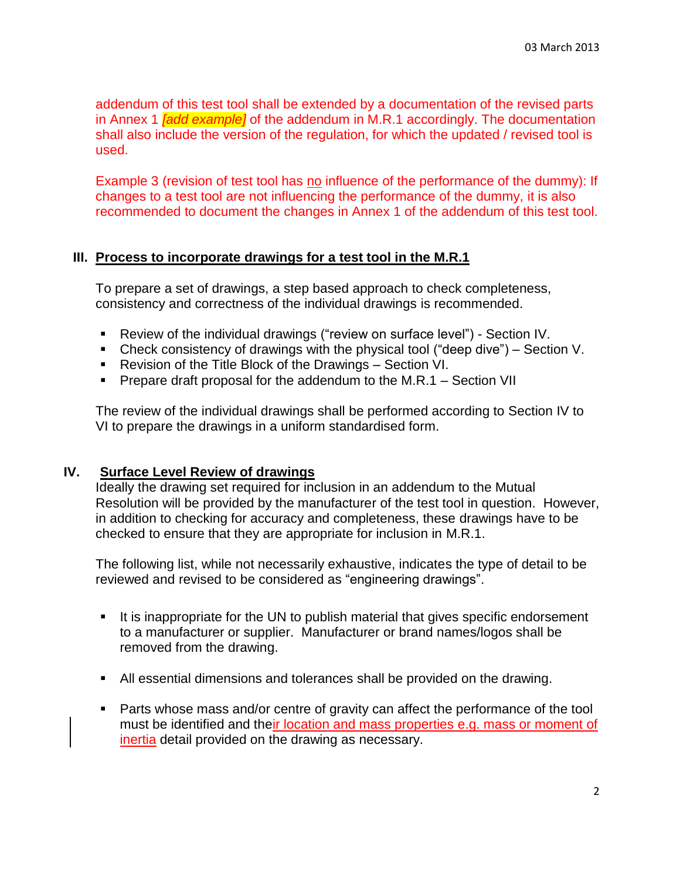addendum of this test tool shall be extended by a documentation of the revised parts in Annex 1 *[add example]* of the addendum in M.R.1 accordingly. The documentation shall also include the version of the regulation, for which the updated / revised tool is used.

Example 3 (revision of test tool has no influence of the performance of the dummy): If changes to a test tool are not influencing the performance of the dummy, it is also recommended to document the changes in Annex 1 of the addendum of this test tool.

#### **III. Process to incorporate drawings for a test tool in the M.R.1**

To prepare a set of drawings, a step based approach to check completeness, consistency and correctness of the individual drawings is recommended.

- Review of the individual drawings ("review on surface level") Section IV.
- Check consistency of drawings with the physical tool ("deep dive") Section V.
- Revision of the Title Block of the Drawings Section VI.
- Prepare draft proposal for the addendum to the M.R.1 Section VII

The review of the individual drawings shall be performed according to Section IV to VI to prepare the drawings in a uniform standardised form.

#### **IV. Surface Level Review of drawings**

Ideally the drawing set required for inclusion in an addendum to the Mutual Resolution will be provided by the manufacturer of the test tool in question. However, in addition to checking for accuracy and completeness, these drawings have to be checked to ensure that they are appropriate for inclusion in M.R.1.

The following list, while not necessarily exhaustive, indicates the type of detail to be reviewed and revised to be considered as "engineering drawings".

- It is inappropriate for the UN to publish material that gives specific endorsement to a manufacturer or supplier. Manufacturer or brand names/logos shall be removed from the drawing.
- All essential dimensions and tolerances shall be provided on the drawing.
- **Parts whose mass and/or centre of gravity can affect the performance of the tool** must be identified and their location and mass properties e.g. mass or moment of inertia detail provided on the drawing as necessary.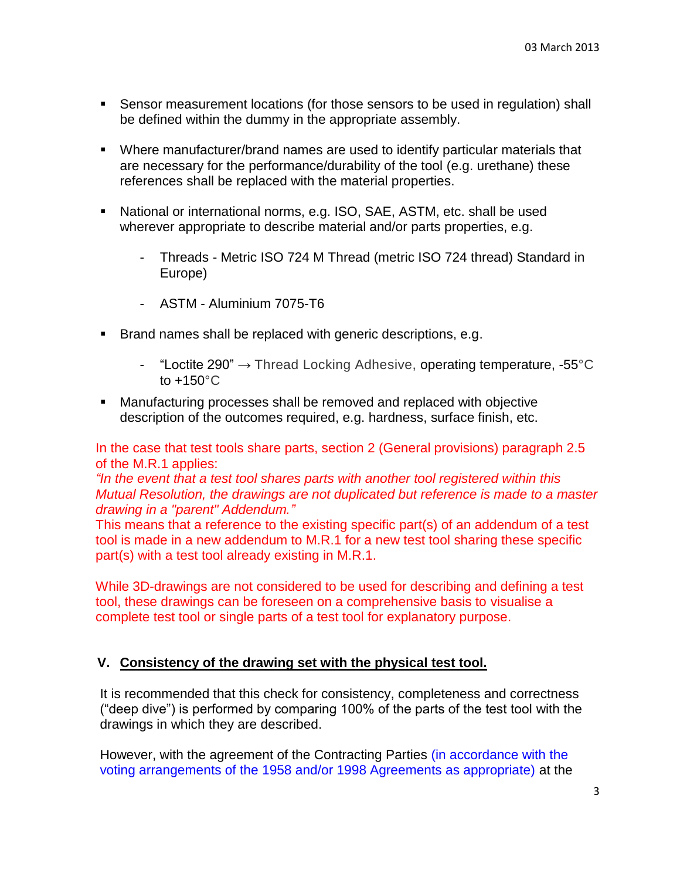- Sensor measurement locations (for those sensors to be used in regulation) shall be defined within the dummy in the appropriate assembly.
- Where manufacturer/brand names are used to identify particular materials that are necessary for the performance/durability of the tool (e.g. urethane) these references shall be replaced with the material properties.
- National or international norms, e.g. ISO, SAE, ASTM, etc. shall be used wherever appropriate to describe material and/or parts properties, e.g.
	- Threads Metric ISO 724 M Thread (metric ISO 724 thread) Standard in Europe)
	- ASTM Aluminium 7075-T6
- Brand names shall be replaced with generic descriptions, e.g.
	- "Loctite 290"  $\rightarrow$  Thread Locking Adhesive, operating temperature, -55 $\degree$ C to +150°C
- Manufacturing processes shall be removed and replaced with objective description of the outcomes required, e.g. hardness, surface finish, etc.

In the case that test tools share parts, section 2 (General provisions) paragraph 2.5 of the M.R.1 applies:

*"In the event that a test tool shares parts with another tool registered within this Mutual Resolution, the drawings are not duplicated but reference is made to a master drawing in a "parent" Addendum."*

This means that a reference to the existing specific part(s) of an addendum of a test tool is made in a new addendum to M.R.1 for a new test tool sharing these specific part(s) with a test tool already existing in M.R.1.

While 3D-drawings are not considered to be used for describing and defining a test tool, these drawings can be foreseen on a comprehensive basis to visualise a complete test tool or single parts of a test tool for explanatory purpose.

## **V. Consistency of the drawing set with the physical test tool.**

It is recommended that this check for consistency, completeness and correctness ("deep dive") is performed by comparing 100% of the parts of the test tool with the drawings in which they are described.

However, with the agreement of the Contracting Parties (in accordance with the voting arrangements of the 1958 and/or 1998 Agreements as appropriate) at the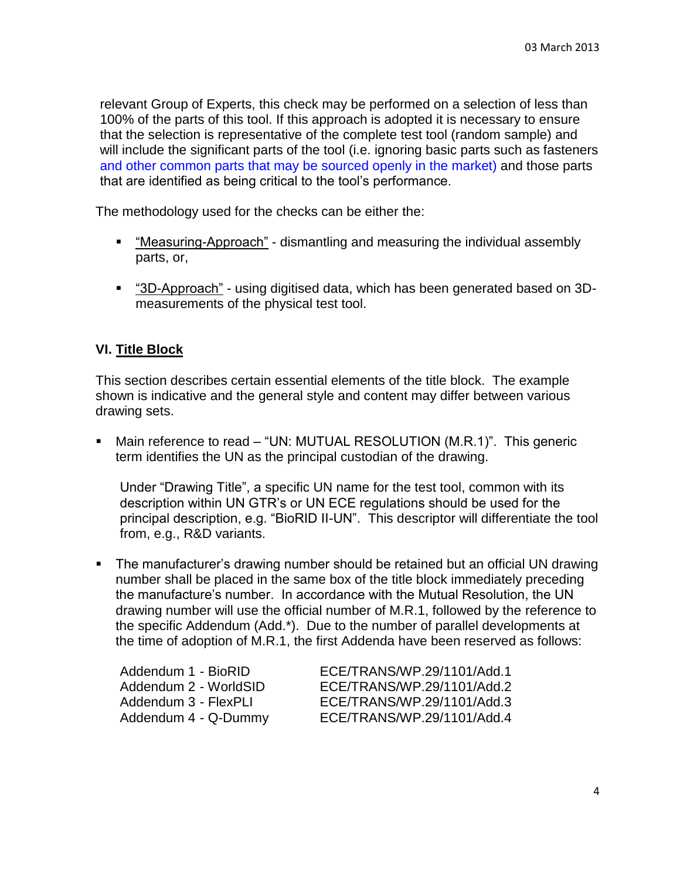relevant Group of Experts, this check may be performed on a selection of less than 100% of the parts of this tool. If this approach is adopted it is necessary to ensure that the selection is representative of the complete test tool (random sample) and will include the significant parts of the tool (i.e. ignoring basic parts such as fasteners and other common parts that may be sourced openly in the market) and those parts that are identified as being critical to the tool's performance.

The methodology used for the checks can be either the:

- "Measuring-Approach" dismantling and measuring the individual assembly parts, or,
- "3D-Approach" using digitised data, which has been generated based on 3Dmeasurements of the physical test tool.

### **VI. Title Block**

This section describes certain essential elements of the title block. The example shown is indicative and the general style and content may differ between various drawing sets.

• Main reference to read – "UN: MUTUAL RESOLUTION (M.R.1)". This generic term identifies the UN as the principal custodian of the drawing.

Under "Drawing Title", a specific UN name for the test tool, common with its description within UN GTR's or UN ECE regulations should be used for the principal description, e.g. "BioRID II-UN". This descriptor will differentiate the tool from, e.g., R&D variants.

• The manufacturer's drawing number should be retained but an official UN drawing number shall be placed in the same box of the title block immediately preceding the manufacture's number. In accordance with the Mutual Resolution, the UN drawing number will use the official number of M.R.1, followed by the reference to the specific Addendum (Add.\*). Due to the number of parallel developments at the time of adoption of M.R.1, the first Addenda have been reserved as follows:

| ECE/TRANS/WP.29/1101/Add.1 |
|----------------------------|
| ECE/TRANS/WP.29/1101/Add.2 |
| ECE/TRANS/WP.29/1101/Add.3 |
| ECE/TRANS/WP.29/1101/Add.4 |
|                            |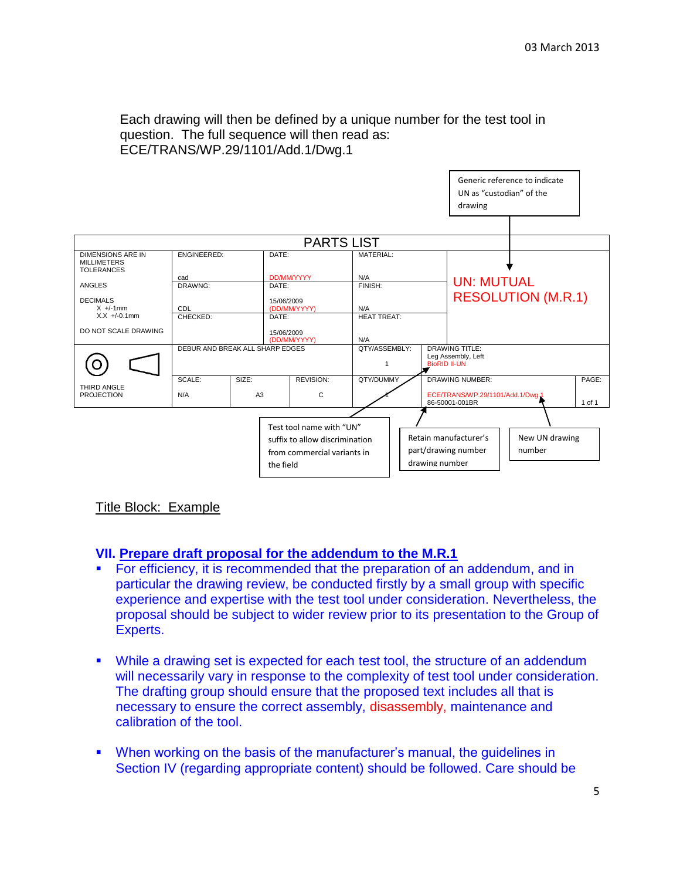### Each drawing will then be defined by a unique number for the test tool in question. The full sequence will then read as: ECE/TRANS/WP.29/1101/Add.1/Dwg.1



## Title Block: Example

#### **VII. Prepare draft proposal for the addendum to the M.R.1**

- **For efficiency, it is recommended that the preparation of an addendum, and in** particular the drawing review, be conducted firstly by a small group with specific experience and expertise with the test tool under consideration. Nevertheless, the proposal should be subject to wider review prior to its presentation to the Group of Experts.
- While a drawing set is expected for each test tool, the structure of an addendum will necessarily vary in response to the complexity of test tool under consideration. The drafting group should ensure that the proposed text includes all that is necessary to ensure the correct assembly, disassembly, maintenance and calibration of the tool.
- When working on the basis of the manufacturer's manual, the guidelines in Section IV (regarding appropriate content) should be followed. Care should be